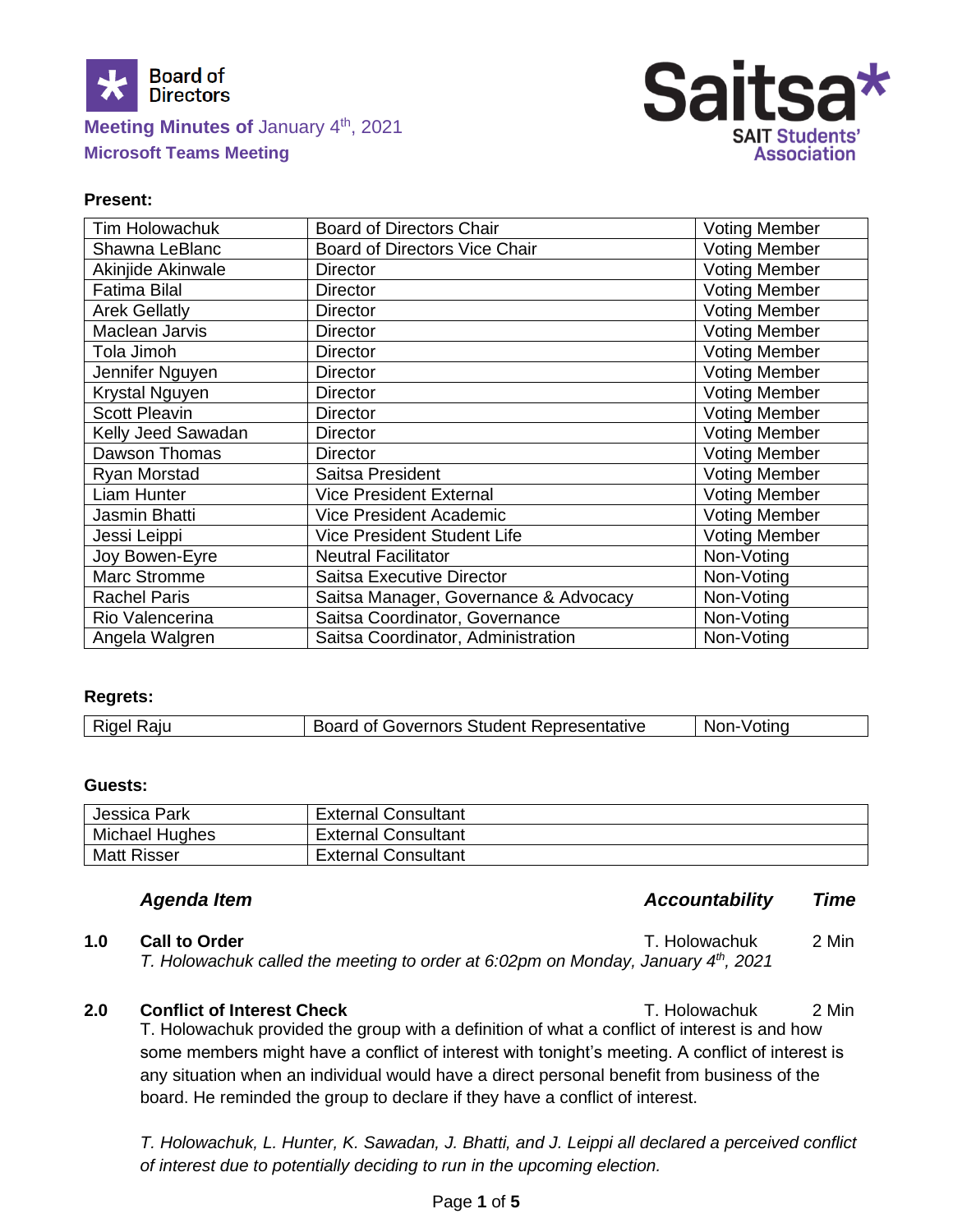

# **Meeting Minutes of January 4th, 2021 Microsoft Teams Meeting**



# **Present:**

| Tim Holowachuk       | <b>Board of Directors Chair</b>       | <b>Voting Member</b> |
|----------------------|---------------------------------------|----------------------|
| Shawna LeBlanc       | <b>Board of Directors Vice Chair</b>  | <b>Voting Member</b> |
| Akinjide Akinwale    | <b>Director</b>                       | <b>Voting Member</b> |
| <b>Fatima Bilal</b>  | <b>Director</b>                       | <b>Voting Member</b> |
| <b>Arek Gellatly</b> | <b>Director</b>                       | <b>Voting Member</b> |
| Maclean Jarvis       | <b>Director</b>                       | <b>Voting Member</b> |
| Tola Jimoh           | <b>Director</b>                       | <b>Voting Member</b> |
| Jennifer Nguyen      | <b>Director</b>                       | <b>Voting Member</b> |
| Krystal Nguyen       | <b>Director</b>                       | <b>Voting Member</b> |
| <b>Scott Pleavin</b> | <b>Director</b>                       | <b>Voting Member</b> |
| Kelly Jeed Sawadan   | <b>Director</b>                       | <b>Voting Member</b> |
| Dawson Thomas        | <b>Director</b>                       | <b>Voting Member</b> |
| Ryan Morstad         | Saitsa President                      | <b>Voting Member</b> |
| Liam Hunter          | <b>Vice President External</b>        | <b>Voting Member</b> |
| Jasmin Bhatti        | <b>Vice President Academic</b>        | <b>Voting Member</b> |
| Jessi Leippi         | <b>Vice President Student Life</b>    | <b>Voting Member</b> |
| Joy Bowen-Eyre       | <b>Neutral Facilitator</b>            | Non-Voting           |
| Marc Stromme         | <b>Saitsa Executive Director</b>      | Non-Voting           |
| <b>Rachel Paris</b>  | Saitsa Manager, Governance & Advocacy | Non-Voting           |
| Rio Valencerina      | Saitsa Coordinator, Governance        | Non-Voting           |
| Angela Walgren       | Saitsa Coordinator, Administration    | Non-Voting           |

#### **Regrets:**

| <b>Rigel Raju</b><br>Board of Governors Student Representative<br>Non-Votina |
|------------------------------------------------------------------------------|
|------------------------------------------------------------------------------|

#### **Guests:**

| Jessica Park       | <b>External Consultant</b> |
|--------------------|----------------------------|
| Michael Hughes     | <b>External Consultant</b> |
| <b>Matt Risser</b> | <b>External Consultant</b> |

# *Agenda Item Accountability Time*

**1.0 Call to Order 1.0 Call to Order T. Holowachuk** 2 Min *T. Holowachuk called the meeting to order at 6:02pm on Monday, January 4th, 2021*

# **2.0 Conflict of Interest Check** T. Holowachuk 2 Min

T. Holowachuk provided the group with a definition of what a conflict of interest is and how some members might have a conflict of interest with tonight's meeting. A conflict of interest is any situation when an individual would have a direct personal benefit from business of the board. He reminded the group to declare if they have a conflict of interest.

*T. Holowachuk, L. Hunter, K. Sawadan, J. Bhatti, and J. Leippi all declared a perceived conflict of interest due to potentially deciding to run in the upcoming election.*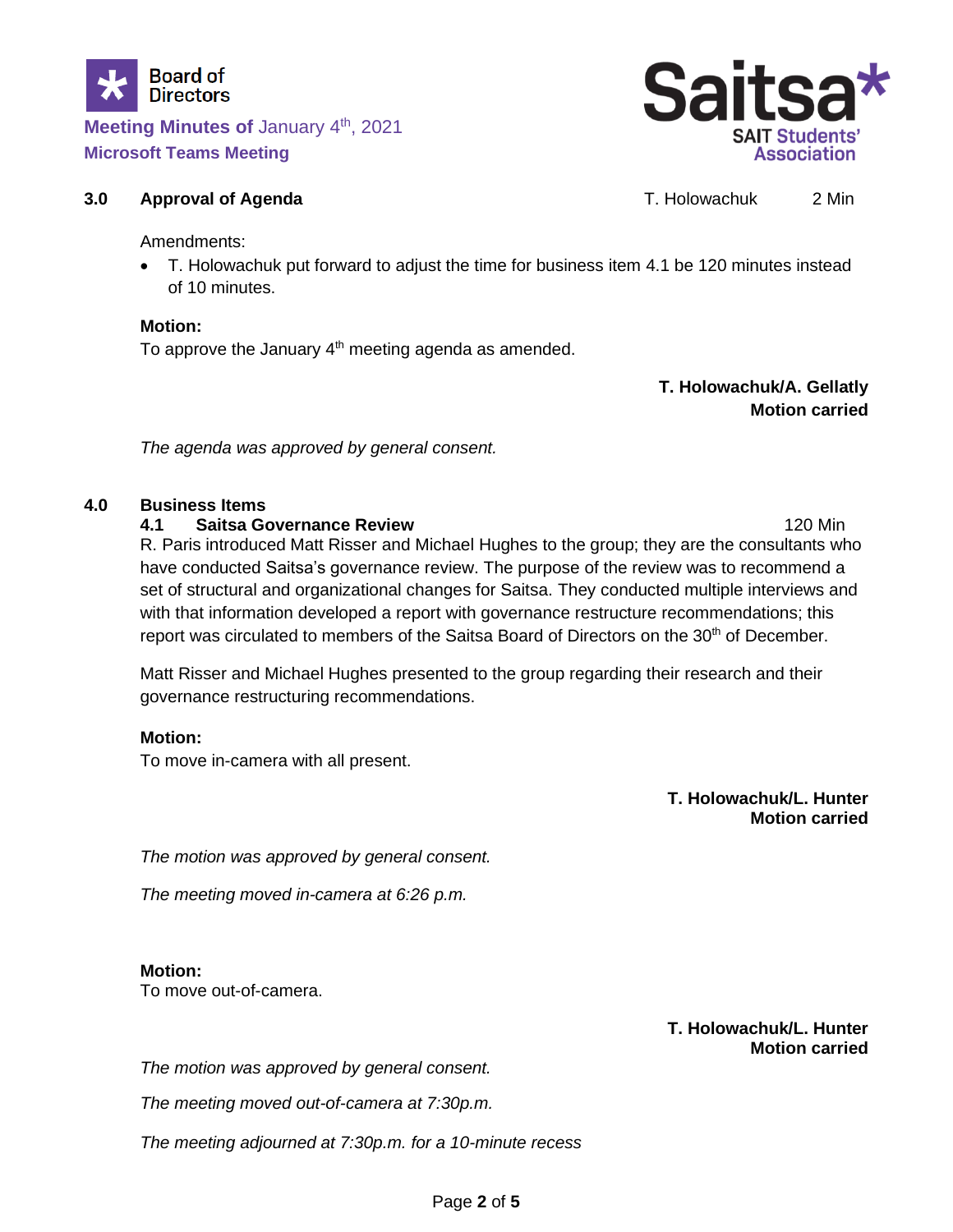

**Meeting Minutes of January 4th, 2021 Microsoft Teams Meeting**



# **3.0 Approval of Agenda T. Holowachuk** 2 Min

Amendments:

• T. Holowachuk put forward to adjust the time for business item 4.1 be 120 minutes instead of 10 minutes.

## **Motion:**

To approve the January  $4<sup>th</sup>$  meeting agenda as amended.

**T. Holowachuk/A. Gellatly Motion carried**

*The agenda was approved by general consent.*

# **4.0 Business Items**

**4.1 Saitsa Governance Review** 120 Min

R. Paris introduced Matt Risser and Michael Hughes to the group; they are the consultants who have conducted Saitsa's governance review. The purpose of the review was to recommend a set of structural and organizational changes for Saitsa. They conducted multiple interviews and with that information developed a report with governance restructure recommendations; this report was circulated to members of the Saitsa Board of Directors on the 30<sup>th</sup> of December.

Matt Risser and Michael Hughes presented to the group regarding their research and their governance restructuring recommendations.

# **Motion:**

To move in-camera with all present.

**T. Holowachuk/L. Hunter Motion carried**

*The motion was approved by general consent.*

*The meeting moved in-camera at 6:26 p.m.*

# **Motion:**

To move out-of-camera.

**T. Holowachuk/L. Hunter Motion carried**

*The motion was approved by general consent.*

*The meeting moved out-of-camera at 7:30p.m.*

*The meeting adjourned at 7:30p.m. for a 10-minute recess*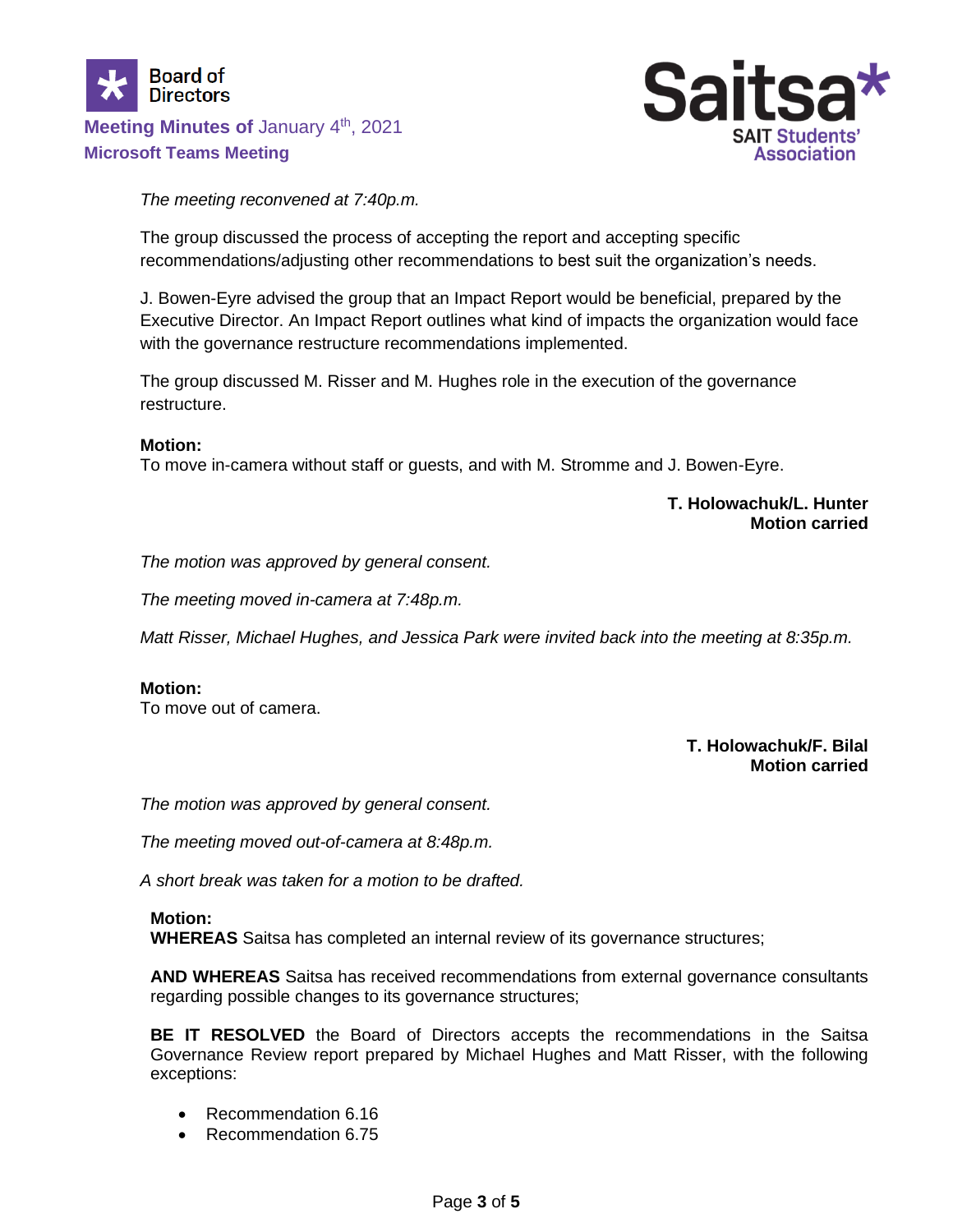



# *The meeting reconvened at 7:40p.m.*

The group discussed the process of accepting the report and accepting specific recommendations/adjusting other recommendations to best suit the organization's needs.

J. Bowen-Eyre advised the group that an Impact Report would be beneficial, prepared by the Executive Director. An Impact Report outlines what kind of impacts the organization would face with the governance restructure recommendations implemented.

The group discussed M. Risser and M. Hughes role in the execution of the governance restructure.

#### **Motion:**

To move in-camera without staff or guests, and with M. Stromme and J. Bowen-Eyre.

#### **T. Holowachuk/L. Hunter Motion carried**

*The motion was approved by general consent.*

*The meeting moved in-camera at 7:48p.m.*

*Matt Risser, Michael Hughes, and Jessica Park were invited back into the meeting at 8:35p.m.*

#### **Motion:**

To move out of camera.

## **T. Holowachuk/F. Bilal Motion carried**

*The motion was approved by general consent.*

*The meeting moved out-of-camera at 8:48p.m.*

*A short break was taken for a motion to be drafted.*

#### **Motion:**

**WHEREAS** Saitsa has completed an internal review of its governance structures;

**AND WHEREAS** Saitsa has received recommendations from external governance consultants regarding possible changes to its governance structures;

**BE IT RESOLVED** the Board of Directors accepts the recommendations in the Saitsa Governance Review report prepared by Michael Hughes and Matt Risser, with the following exceptions:

- Recommendation 6.16
- Recommendation 6.75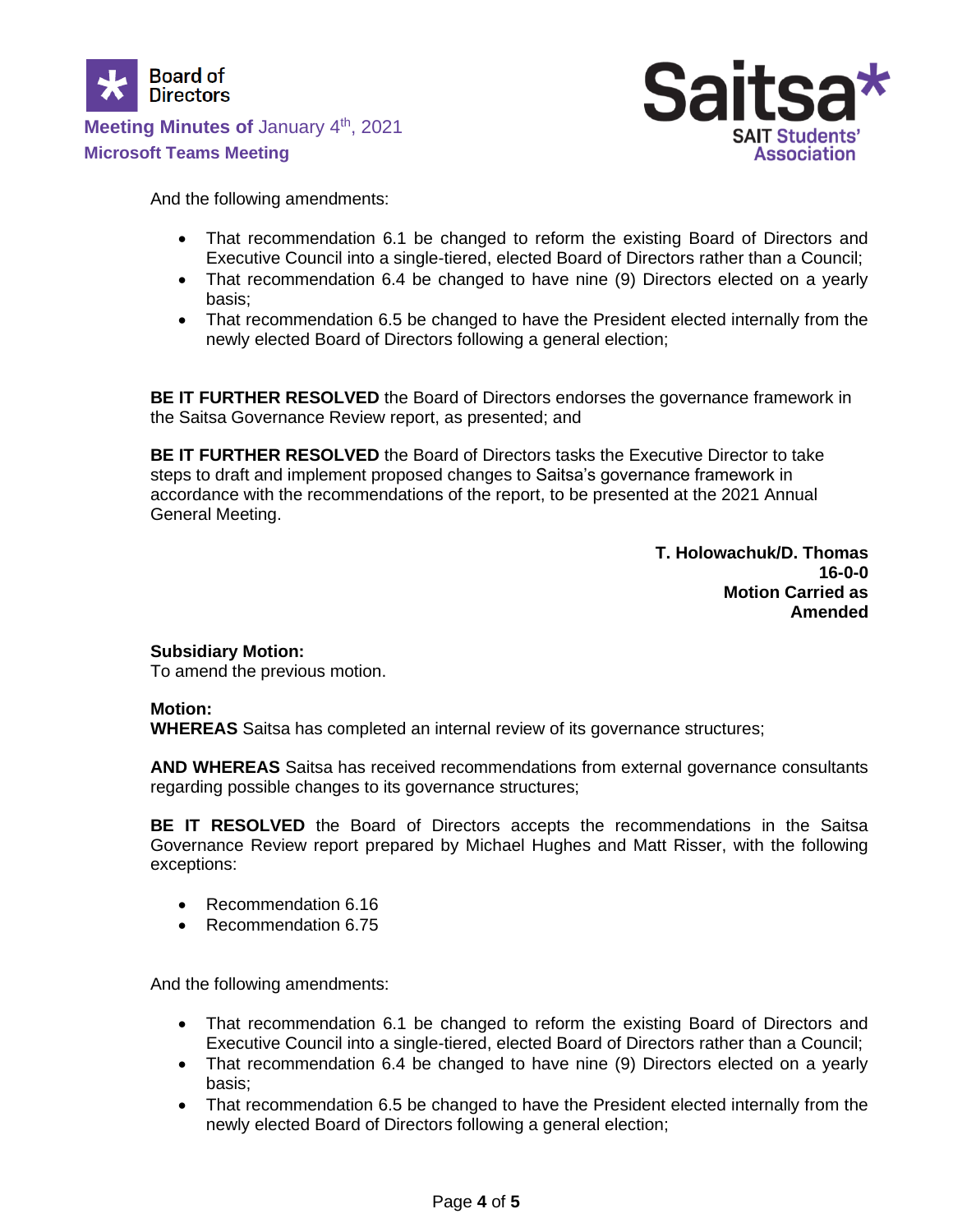



And the following amendments:

- That recommendation 6.1 be changed to reform the existing Board of Directors and Executive Council into a single-tiered, elected Board of Directors rather than a Council;
- That recommendation 6.4 be changed to have nine (9) Directors elected on a yearly basis;
- That recommendation 6.5 be changed to have the President elected internally from the newly elected Board of Directors following a general election;

**BE IT FURTHER RESOLVED** the Board of Directors endorses the governance framework in the Saitsa Governance Review report, as presented; and

**BE IT FURTHER RESOLVED** the Board of Directors tasks the Executive Director to take steps to draft and implement proposed changes to Saitsa's governance framework in accordance with the recommendations of the report, to be presented at the 2021 Annual General Meeting.

> **T. Holowachuk/D. Thomas 16-0-0 Motion Carried as Amended**

# **Subsidiary Motion:**

To amend the previous motion.

#### **Motion:**

**WHEREAS** Saitsa has completed an internal review of its governance structures;

**AND WHEREAS** Saitsa has received recommendations from external governance consultants regarding possible changes to its governance structures;

**BE IT RESOLVED** the Board of Directors accepts the recommendations in the Saitsa Governance Review report prepared by Michael Hughes and Matt Risser, with the following exceptions:

- Recommendation 6.16
- Recommendation 6.75

And the following amendments:

- That recommendation 6.1 be changed to reform the existing Board of Directors and Executive Council into a single-tiered, elected Board of Directors rather than a Council;
- That recommendation 6.4 be changed to have nine (9) Directors elected on a yearly basis;
- That recommendation 6.5 be changed to have the President elected internally from the newly elected Board of Directors following a general election;